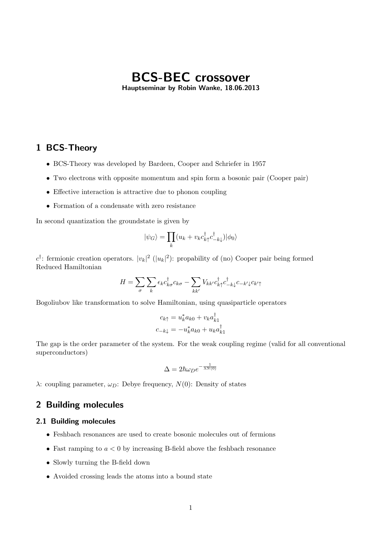# BCS-BEC crossover

Hauptseminar by Robin Wanke, 18.06.2013

# 1 BCS-Theory

- BCS-Theory was developed by Bardeen, Cooper and Schriefer in 1957
- Two electrons with opposite momentum and spin form a bosonic pair (Cooper pair)
- Effective interaction is attractive due to phonon coupling
- Formation of a condensate with zero resistance

In second quantization the groundstate is given by

$$
|\psi_G\rangle = \prod_k (u_k + v_k c_{k\uparrow}^\dagger c_{-k\downarrow}^\dagger)|\phi_0\rangle
$$

 $c^{\dagger}$ : fermionic creation operators.  $|v_k|^2$  ( $|u_k|^2$ ): propability of (no) Cooper pair being formed Reduced Hamiltonian

$$
H = \sum_{\sigma} \sum_{k} \epsilon_{k} c_{k\sigma}^{\dagger} c_{k\sigma} - \sum_{kk'} V_{kk'} c_{k\uparrow}^{\dagger} c_{-k\downarrow}^{\dagger} c_{-k'\downarrow} c_{k'\uparrow}
$$

Bogoliubov like transformation to solve Hamiltonian, using quasiparticle operators

$$
c_{k\uparrow} = u_k^* a_{k0} + v_k a_{k1}^{\dagger}
$$

$$
c_{-k\downarrow} = -u_k^* a_{k0} + u_k a_{k1}^{\dagger}
$$

The gap is the order parameter of the system. For the weak coupling regime (valid for all conventional superconductors)

$$
\Delta = 2\hbar\omega_D e^{-\frac{1}{\lambda N(0)}}
$$

 $\lambda$ : coupling parameter,  $\omega_D$ : Debye frequency,  $N(0)$ : Density of states

# 2 Building molecules

#### 2.1 Building molecules

- Feshbach resonances are used to create bosonic molecules out of fermions
- Fast ramping to  $a < 0$  by increasing B-field above the feshbach resonance
- Slowly turning the B-field down
- Avoided crossing leads the atoms into a bound state